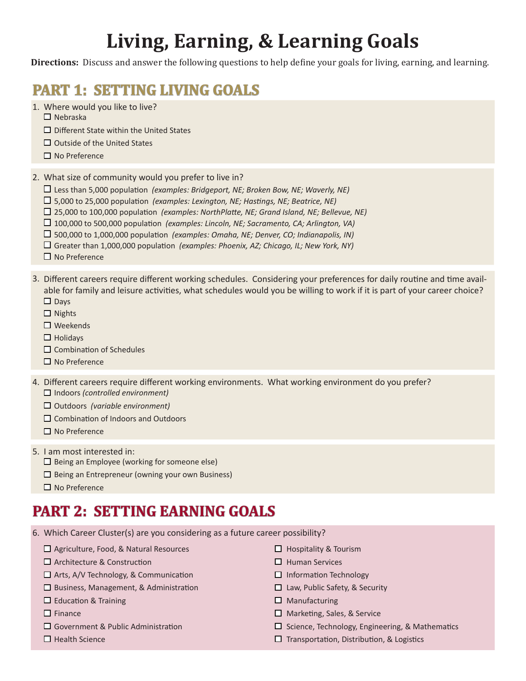## **Living, Earning, & Learning Goals**

**Directions:** Discuss and answer the following questions to help define your goals for living, earning, and learning.

## **PART 1: SETTING LIVING GOALS**

- 1. Where would you like to live?
	- $\Box$  Nebraska
	- Different State within the United States
	- $\Box$  Outside of the United States
	- $\square$  No Preference

What size of community would you prefer to live in? 2.

- Less than 5,000 population *(examples: Bridgeport, NE; Broken Bow, NE; Waverly, NE)*
- 5,000 to 25,000 population *(examples: Lexington, NE; Hastings, NE; Beatrice, NE)*
- 25,000 to 100,000 population *(examples: NorthPlatte, NE; Grand Island, NE; Bellevue, NE)*
- 100,000 to 500,000 population *(examples: Lincoln, NE; Sacramento, CA; Arlington, VA)*
- 500,000 to 1,000,000 population *(examples: Omaha, NE; Denver, CO; Indianapolis, IN)*
- Greater than 1,000,000 population *(examples: Phoenix, AZ; Chicago, IL; New York, NY)*
- $\Box$  No Preference
- 3. Different careers require different working schedules. Considering your preferences for daily routine and time available for family and leisure activities, what schedules would you be willing to work if it is part of your career choice?  $\square$  Days
	- $\Box$  Nights
	- □ Weekends
	- $\Box$  Holidavs
	- $\square$  Combination of Schedules
	- No Preference
- 4. Different careers require different working environments. What working environment do you prefer? Indoors *(controlled environment)*
	- Outdoors *(variable environment)*
	- $\Box$  Combination of Indoors and Outdoors
	- $\Box$  No Preference
- 5. I am most interested in:
	- $\Box$  Being an Employee (working for someone else)
	- $\Box$  Being an Entrepreneur (owning your own Business)
	- $\square$  No Preference

## **PART 2: SETTING EARNING GOALS**

- Which Career Cluster(s) are you considering as a future career possibility? 6.
	- □ Agriculture, Food, & Natural Resources
	- □ Architecture & Construction
	- $\Box$  Arts, A/V Technology, & Communication
	- $\square$  Business, Management, & Administration
	- $\square$  Education & Training
	- $\Box$  Finance
	- □ Government & Public Administration
	- $\Box$  Health Science
- $\Box$  Hospitality & Tourism
- $\Box$  Human Services
- $\Box$  Information Technology
- $\Box$  Law, Public Safety, & Security
- $\square$  Manufacturing
- □ Marketing, Sales, & Service
- $\Box$  Science, Technology, Engineering, & Mathematics
- $\Box$  Transportation, Distribution, & Logistics